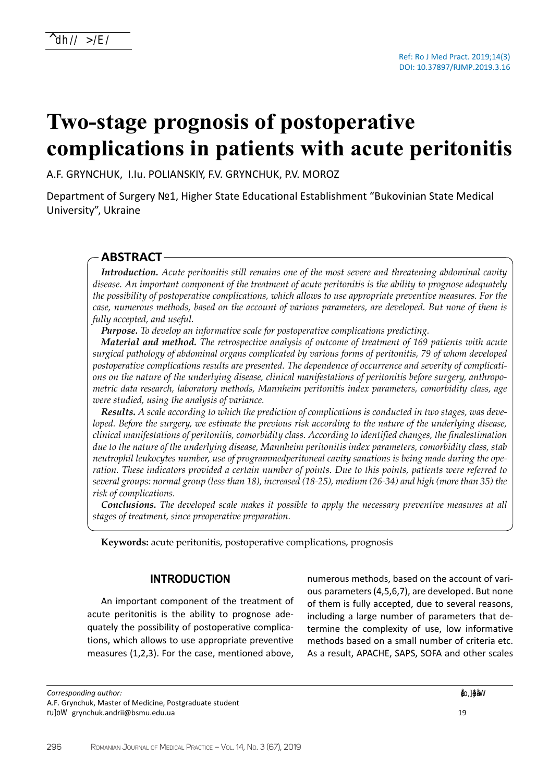# **Two-stage prognosis of postoperative complications in patients with acute peritonitis**

A.F. GRYNCHUK, I.Iu. POLIANSKIY, F.V. GRYNCHUK, P.V. MOROZ

Department of Surgery №1, Higher State Educational Establishment "Bukovinian State Medical University", Ukraine

## **ABSTRACT**

*Introduction. Acute peritonitis still remains one of the most severe and threatening abdominal cavity disease. An important component of the treatment of acute peritonitis is the ability to prognose adequately the possibility of postoperative complications, which allows to use appropriate preventive measures. For the case, numerous methods, based on the account of various parameters, are developed. But none of them is fully accepted, and useful.*

*Purpose. To develop an informative scale for postoperative complications predicting.*

*Material and method. The retrospective analysis of outcome of treatment of 169 patients with acute surgical pathology of abdominal organs complicated by various forms of peritonitis, 79 of whom developed postoperative complications results are presented. The dependence of occurrence and severity of complications on the nature of the underlying disease, clinical manifestations of peritonitis before surgery, anthropometric data research, laboratory methods, Mannheim peritonitis index parameters, comorbidity class, age were studied, using the analysis of variance.* 

*Results. A scale according to which the prediction of complications is conducted in two stages, was developed. Before the surgery, we estimate the previous risk according to the nature of the underlying disease, clinical manifestations of peritonitis, comorbidity class. According to identified changes, the finalestimation due to the nature of the underlying disease, Mannheim peritonitis index parameters, comorbidity class, stab neutrophil leukocytes number, use of programmedperitoneal cavity sanations is being made during the operation. These indicators provided a certain number of points. Due to this points, patients were referred to several groups: normal group (less than 18), increased (18-25), medium (26-34) and high (more than 35) the risk of complications.* 

*Conclusions. The developed scale makes it possible to apply the necessary preventive measures at all stages of treatment, since preoperative preparation.*

**Keywords:** acute peritonitis, postoperative complications, prognosis

### **INTRODUCTION**

An important component of the treatment of acute peritonitis is the ability to prognose adequately the possibility of postoperative complications, which allows to use appropriate preventive measures (1,2,3). For the case, mentioned above,

*Corresponding author:*  A.F. Grynchuk, Master of Medicine, Postgraduate student E-mail: grynchuk.andrii@bsmu.edu.ua

numerous methods, based on the account of various parameters (4,5,6,7), are developed. But none of them is fully accepted, due to several reasons, including a large number of parameters that determine the complexity of use, low informative methods based on a small number of criteria etc. As a result, APACHE, SAPS, SOFA and other scales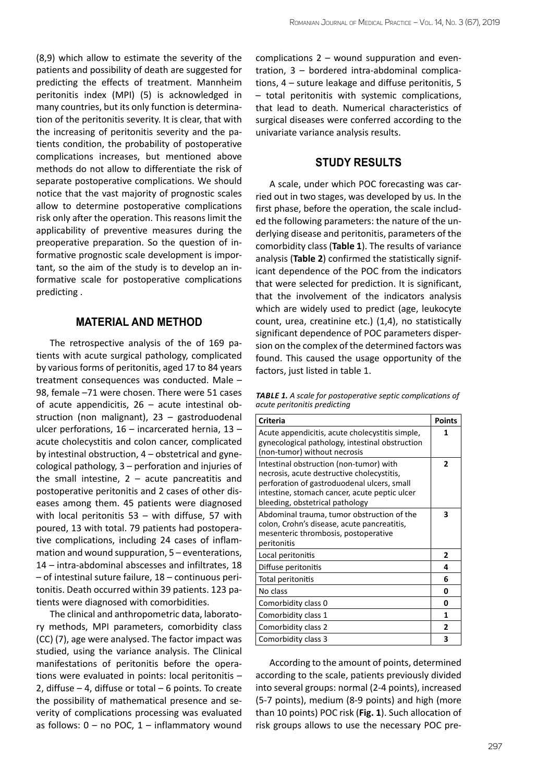(8,9) which allow to estimate the severity of the patients and possibility of death are suggested for predicting the effects of treatment. Mannheim peritonitis index (MPI) (5) is acknowledged in many countries, but its only function is determination of the peritonitis severity. It is clear, that with the increasing of peritonitis severity and the patients condition, the probability of postoperative complications increases, but mentioned above methods do not allow to differentiate the risk of separate postoperative complications. We should notice that the vast majority of prognostic scales allow to determine postoperative complications risk only after the operation. This reasons limit the applicability of preventive measures during the preoperative preparation. So the question of informative prognostic scale development is important, so the aim of the study is to develop an informative scale for postoperative complications predicting .

#### **MATERIAL AND METHOD**

The retrospective analysis of the of 169 patients with acute surgical pathology, complicated by various forms of peritonitis, aged 17 to 84 years treatment consequences was conducted. Male – 98, female –71 were chosen. There were 51 cases of acute appendicitis, 26 – acute intestinal obstruction (non malignant), 23 – gastroduodenal ulcer perforations, 16 – incarcerated hernia, 13 – acute cholecystitis and colon cancer, complicated by intestinal obstruction, 4 – obstetrical and gynecological pathology, 3 – perforation and injuries of the small intestine,  $2 -$  acute pancreatitis and postoperative peritonitis and 2 cases of other diseases among them. 45 patients were diagnosed with local peritonitis 53 – with diffuse, 57 with poured, 13 with total. 79 patients had postoperative complications, including 24 cases of inflammation and wound suppuration, 5 – eventerations, 14 – intra-abdominal abscesses and infiltrates, 18 – of intestinal suture failure, 18 – continuous peritonitis. Death occurred within 39 patients. 123 patients were diagnosed with comorbidities.

The clinical and anthropometric data, laboratory methods, MPI parameters, comorbidity class (CC) (7), age were analysed. The factor impact was studied, using the variance analysis. The Clinical manifestations of peritonitis before the operations were evaluated in points: local peritonitis – 2, diffuse  $-4$ , diffuse or total  $-6$  points. To create the possibility of mathematical presence and severity of complications processing was evaluated as follows:  $0 - no POC$ ,  $1 - inflammatory wound$ 

complications 2 – wound suppuration and eventration, 3 – bordered intra-abdominal complications, 4 – suture leakage and diffuse peritonitis, 5 – total peritonitis with systemic complications, that lead to death. Numerical characteristics of surgical diseases were conferred according to the univariate variance analysis results.

#### **STUDY RESULTS**

A scale, under which POC forecasting was carried out in two stages, was developed by us. In the first phase, before the operation, the scale included the following parameters: the nature of the underlying disease and peritonitis, parameters of the comorbidity class (**Table 1**). The results of variance analysis (**Table 2**) confirmed the statistically significant dependence of the POC from the indicators that were selected for prediction. It is significant, that the involvement of the indicators analysis which are widely used to predict (age, leukocyte count, urea, creatinine etc.) (1,4), no statistically significant dependence of POC parameters dispersion on the complex of the determined factors was found. This caused the usage opportunity of the factors, just listed in table 1.

*Table 1. A scale for postoperative septic complications of acute peritonitis predicting*

| Criteria                                                                                                                                                                                                                 | <b>Points</b>  |
|--------------------------------------------------------------------------------------------------------------------------------------------------------------------------------------------------------------------------|----------------|
| Acute appendicitis, acute cholecystitis simple,<br>gynecological pathology, intestinal obstruction<br>(non-tumor) without necrosis                                                                                       | 1              |
| Intestinal obstruction (non-tumor) with<br>necrosis, acute destructive cholecystitis,<br>perforation of gastroduodenal ulcers, small<br>intestine, stomach cancer, acute peptic ulcer<br>bleeding, obstetrical pathology | $\overline{2}$ |
| Abdominal trauma, tumor obstruction of the<br>colon, Crohn's disease, acute pancreatitis,<br>mesenteric thrombosis, postoperative<br>peritonitis                                                                         | 3              |
| Local peritonitis                                                                                                                                                                                                        | $\mathbf{2}$   |
| Diffuse peritonitis                                                                                                                                                                                                      | 4              |
| Total peritonitis                                                                                                                                                                                                        | 6              |
| No class                                                                                                                                                                                                                 | 0              |
| Comorbidity class 0                                                                                                                                                                                                      | U              |
| Comorbidity class 1                                                                                                                                                                                                      | 1              |
| Comorbidity class 2                                                                                                                                                                                                      | 2              |
| Comorbidity class 3                                                                                                                                                                                                      | 3              |

According to the amount of points, determined according to the scale, patients previously divided into several groups: normal (2-4 points), increased (5-7 points), medium (8-9 points) and high (more than 10 points) POC risk (**Fig. 1**). Such allocation of risk groups allows to use the necessary POC pre-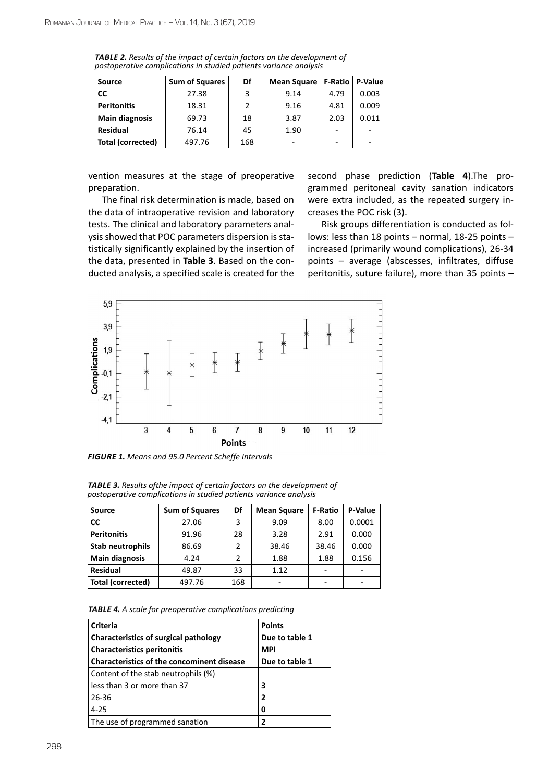| <b>Source</b>            | <b>Sum of Squares</b> | Df  | <b>Mean Square</b> | <b>F-Ratio</b> | P-Value |
|--------------------------|-----------------------|-----|--------------------|----------------|---------|
| <b>CC</b>                | 27.38                 |     | 9.14               | 4.79           | 0.003   |
| <b>Peritonitis</b>       | 18.31                 |     | 9.16               | 4.81           | 0.009   |
| <b>Main diagnosis</b>    | 69.73                 | 18  | 3.87               | 2.03           | 0.011   |
| <b>Residual</b>          | 76.14                 | 45  | 1.90               |                | ۰       |
| <b>Total (corrected)</b> | 497.76                | 168 | -                  | -              | -       |

*Table 2. Results of the impact of certain factors on the development of postoperative complications in studied patients variance analysis*

vention measures at the stage of preoperative preparation.

The final risk determination is made, based on the data of intraoperative revision and laboratory tests. The clinical and laboratory parameters analysis showed that POC parameters dispersion is statistically significantly explained by the insertion of the data, presented in **Table 3**. Based on the conducted analysis, a specified scale is created for the

second phase prediction (**Table 4**).The programmed peritoneal cavity sanation indicators were extra included, as the repeated surgery increases the POC risk (3).

Risk groups differentiation is conducted as follows: less than 18 points – normal, 18-25 points – increased (primarily wound complications), 26-34 points – average (abscesses, infiltrates, diffuse peritonitis, suture failure), more than 35 points –



*Figure 1. Means and 95.0 Percent Scheffe Intervals*

| <b>Source</b>            | <b>Sum of Squares</b> | Df             | <b>Mean Square</b> | <b>F-Ratio</b> | P-Value |
|--------------------------|-----------------------|----------------|--------------------|----------------|---------|
| <b>CC</b>                | 27.06                 | 3              | 9.09               | 8.00           | 0.0001  |
| <b>Peritonitis</b>       | 91.96                 | 28             | 3.28               | 2.91           | 0.000   |
| <b>Stab neutrophils</b>  | 86.69                 | 2              | 38.46              | 38.46          | 0.000   |
| <b>Main diagnosis</b>    | 4.24                  | $\overline{2}$ | 1.88               | 1.88           | 0.156   |
| <b>Residual</b>          | 49.87                 | 33             | 1.12               | -              |         |
| <b>Total (corrected)</b> | 497.76                | 168            | -                  |                |         |

*Table 3. Results ofthe impact of certain factors on the development of postoperative complications in studied patients variance analysis*

*Table 4. A scale for preoperative complications predicting*

| <b>Criteria</b>                                   | <b>Points</b>  |
|---------------------------------------------------|----------------|
| <b>Characteristics of surgical pathology</b>      | Due to table 1 |
| <b>Characteristics peritonitis</b>                | <b>MPI</b>     |
| <b>Characteristics of the concominent disease</b> | Due to table 1 |
| Content of the stab neutrophils (%)               |                |
| less than 3 or more than 37                       | 3              |
| 26-36                                             | $\overline{2}$ |
| $4 - 25$                                          | 0              |
| The use of programmed sanation                    | 2              |